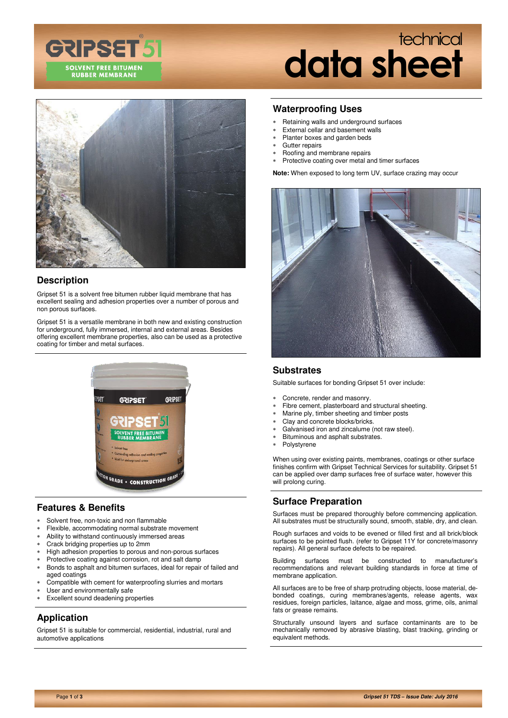

# technical **data sheet**



## **Description**

Gripset 51 is a solvent free bitumen rubber liquid membrane that has excellent sealing and adhesion properties over a number of porous and non porous surfaces.

Gripset 51 is a versatile membrane in both new and existing construction for underground, fully immersed, internal and external areas. Besides offering excellent membrane properties, also can be used as a protective coating for timber and metal surfaces.



## **Features & Benefits**

- Solvent free, non-toxic and non flammable
- Flexible, accommodating normal substrate movement
- Ability to withstand continuously immersed areas
- Crack bridging properties up to 2mm
- High adhesion properties to porous and non-porous surfaces
- Protective coating against corrosion, rot and salt damp
- Bonds to asphalt and bitumen surfaces, ideal for repair of failed and aged coatings
- Compatible with cement for waterproofing slurries and mortars
- User and environmentally safe
- Excellent sound deadening properties

# **Application**

Gripset 51 is suitable for commercial, residential, industrial, rural and automotive applications

#### **Waterproofing Uses**

- Retaining walls and underground surfaces
- External cellar and basement walls
- Planter boxes and garden beds
- Gutter repairs
- Roofing and membrane repairs
- Protective coating over metal and timer surfaces

**Note:** When exposed to long term UV, surface crazing may occur



#### **Substrates**

Suitable surfaces for bonding Gripset 51 over include:

- Concrete, render and masonry.
- Fibre cement, plasterboard and structural sheeting.
- Marine ply, timber sheeting and timber posts
- Clay and concrete blocks/bricks.
- Galvanised iron and zincalume (not raw steel).
- Bituminous and asphalt substrates.
- Polystyrene

When using over existing paints, membranes, coatings or other surface finishes confirm with Gripset Technical Services for suitability. Gripset 51 can be applied over damp surfaces free of surface water, however this will prolong curing.

#### **Surface Preparation**

Surfaces must be prepared thoroughly before commencing application. All substrates must be structurally sound, smooth, stable, dry, and clean.

Rough surfaces and voids to be evened or filled first and all brick/block surfaces to be pointed flush. (refer to Gripset 11Y for concrete/masonry repairs). All general surface defects to be repaired.

Building surfaces must be constructed to manufacturer's recommendations and relevant building standards in force at time of membrane application.

All surfaces are to be free of sharp protruding objects, loose material, debonded coatings, curing membranes/agents, release agents, wax residues, foreign particles, laitance, algae and moss, grime, oils, animal fats or grease remains.

Structurally unsound layers and surface contaminants are to be mechanically removed by abrasive blasting, blast tracking, grinding or equivalent methods.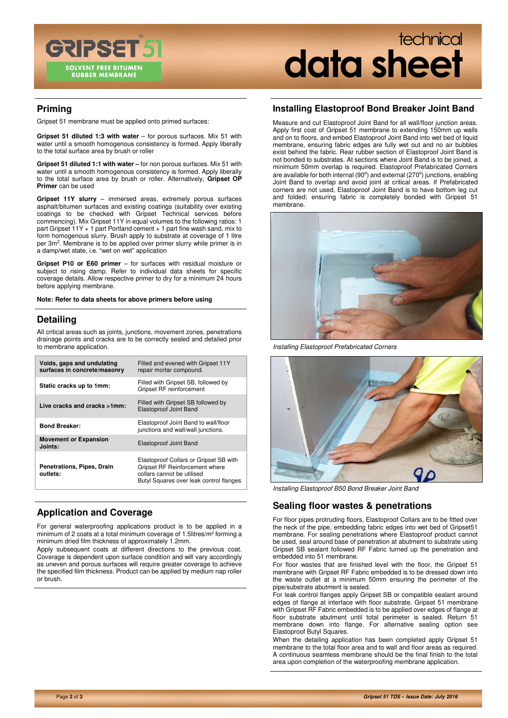

# technical **data sheet**

## **Priming**

Gripset 51 membrane must be applied onto primed surfaces:

**Gripset 51 diluted 1:3 with water** – for porous surfaces. Mix 51 with water until a smooth homogenous consistency is formed. Apply liberally to the total surface area by brush or roller

**Gripset 51 diluted 1:1 with water –** for non porous surfaces. Mix 51 with water until a smooth homogenous consistency is formed. Apply liberally to the total surface area by brush or roller. Alternatively, **Gripset OP Primer** can be used

**Gripset 11Y slurry** – immersed areas, extremely porous surfaces asphalt/bitumen surfaces and existing coatings (suitability over existing coatings to be checked with Gripset Technical services before commencing). Mix Gripset 11Y in equal volumes to the following ratios: 1 part Gripset 11Y + 1 part Portland cement + 1 part fine wash sand, mix to form homogenous slurry. Brush apply to substrate at coverage of 1 litre per 3m<sup>2</sup>. Membrane is to be applied over primer slurry while primer is in a damp/wet state, i.e. "wet on wet" application

**Gripset P10 or E60 primer** – for surfaces with residual moisture or subject to rising damp. Refer to individual data sheets for specific coverage details. Allow respective primer to dry for a minimum 24 hours before applying membrane.

**Note: Refer to data sheets for above primers before using** 

## **Detailing**

All critical areas such as joints, junctions, movement zones, penetrations drainage points and cracks are to be correctly sealed and detailed prior to membrane application.

| Voids, gaps and undulating<br>surfaces in concrete/masonry | Filled and evened with Gripset 11Y<br>repair mortar compound.                                                                                     |
|------------------------------------------------------------|---------------------------------------------------------------------------------------------------------------------------------------------------|
| Static cracks up to 1mm:                                   | Filled with Gripset SB, followed by<br>Gripset RF reinforcement                                                                                   |
| Live cracks and cracks >1mm:                               | Filled with Gripset SB followed by<br>Elastoproof Joint Band                                                                                      |
| <b>Bond Breaker:</b>                                       | Elastoproof Joint Band to wall/floor<br>junctions and wall/wall junctions.                                                                        |
| <b>Movement or Expansion</b><br>Joints:                    | Elastoproof Joint Band                                                                                                                            |
| Penetrations, Pipes, Drain<br>outlets:                     | Elastoproof Collars or Gripset SB with<br>Gripset RF Reinforcement where<br>collars cannot be utilised<br>Butyl Squares over leak control flanges |

# **Application and Coverage**

For general waterproofing applications product is to be applied in a minimum of 2 coats at a total minimum coverage of 1.5litres/m² forming a minimum dried film thickness of approximately 1.2mm.

Apply subsequent coats at different directions to the previous coat. Coverage is dependent upon surface condition and will vary accordingly as uneven and porous surfaces will require greater coverage to achieve the specified film thickness. Product can be applied by medium nap roller or brush.

#### **Installing Elastoproof Bond Breaker Joint Band**

Measure and cut Elastoproof Joint Band for all wall/floor junction areas. Apply first coat of Gripset 51 membrane to extending 150mm up walls and on to floors, and embed Elastoproof Joint Band into wet bed of liquid membrane, ensuring fabric edges are fully wet out and no air bubbles exist behind the fabric. Rear rubber section of Elastoproof Joint Band is not bonded to substrates. At sections where Joint Band is to be joined, a minimum 50mm overlap is required. Elastoproof Prefabricated Corners are available for both internal  $(90^{\circ})$  and external  $(270^{\circ})$  junctions, enabling Joint Band to overlap and avoid joint at critical areas. If Prefabricated corners are not used, Elastoproof Joint Band is to have bottom leg cut and folded; ensuring fabric is completely bonded with Gripset 51 membrane.



Installing Elastoproof Prefabricated Corners



Installing Elastoproof B50 Bond Breaker Joint Band

#### **Sealing floor wastes & penetrations**

For floor pipes protruding floors, Elastoproof Collars are to be fitted over the neck of the pipe, embedding fabric edges into wet bed of Gripset51 membrane. For sealing penetrations where Elastoproof product cannot be used, seal around base of penetration at abutment to substrate using Gripset SB sealant followed RF Fabric turned up the penetration and embedded into 51 membrane.

For floor wastes that are finished level with the floor, the Gripset 51 membrane with Gripset RF Fabric embedded is to be dressed down into the waste outlet at a minimum 50mm ensuring the perimeter of the pipe/substrate abutment is sealed.

For leak control flanges apply Gripset SB or compatible sealant around edges of flange at interface with floor substrate. Gripset 51 membrane with Gripset RF Fabric embedded is to be applied over edges of flange at floor substrate abutment until total perimeter is sealed. Return 51 membrane down into flange. For alternative sealing option see Elastoproof Butyl Squares.

When the detailing application has been completed apply Gripset 51 membrane to the total floor area and to wall and floor areas as required. A continuous seamless membrane should be the final finish to the total area upon completion of the waterproofing membrane application.